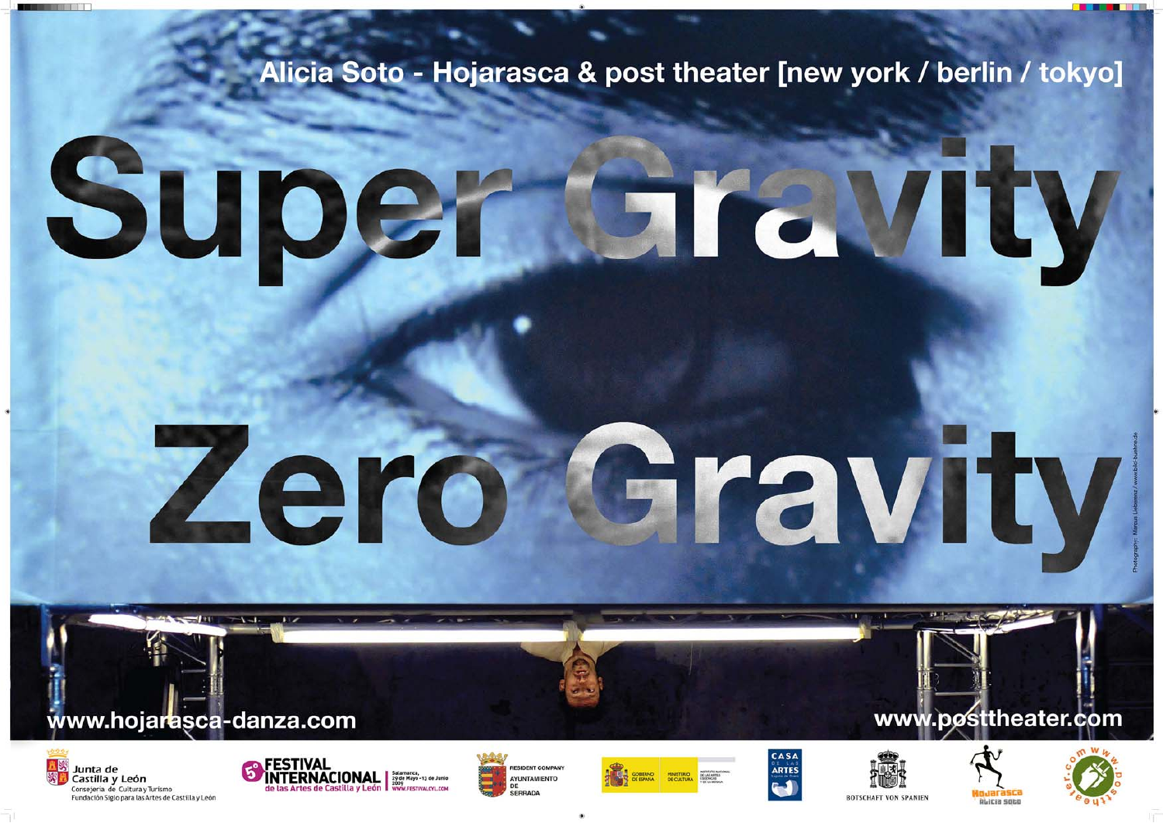### Alicia Soto - Hojarasca & post theater [new york / berlin / tokyo]

# Super STEWIEW

# Zero Gravity

#### www.hojarasca-danza.com















www.posttheater.com

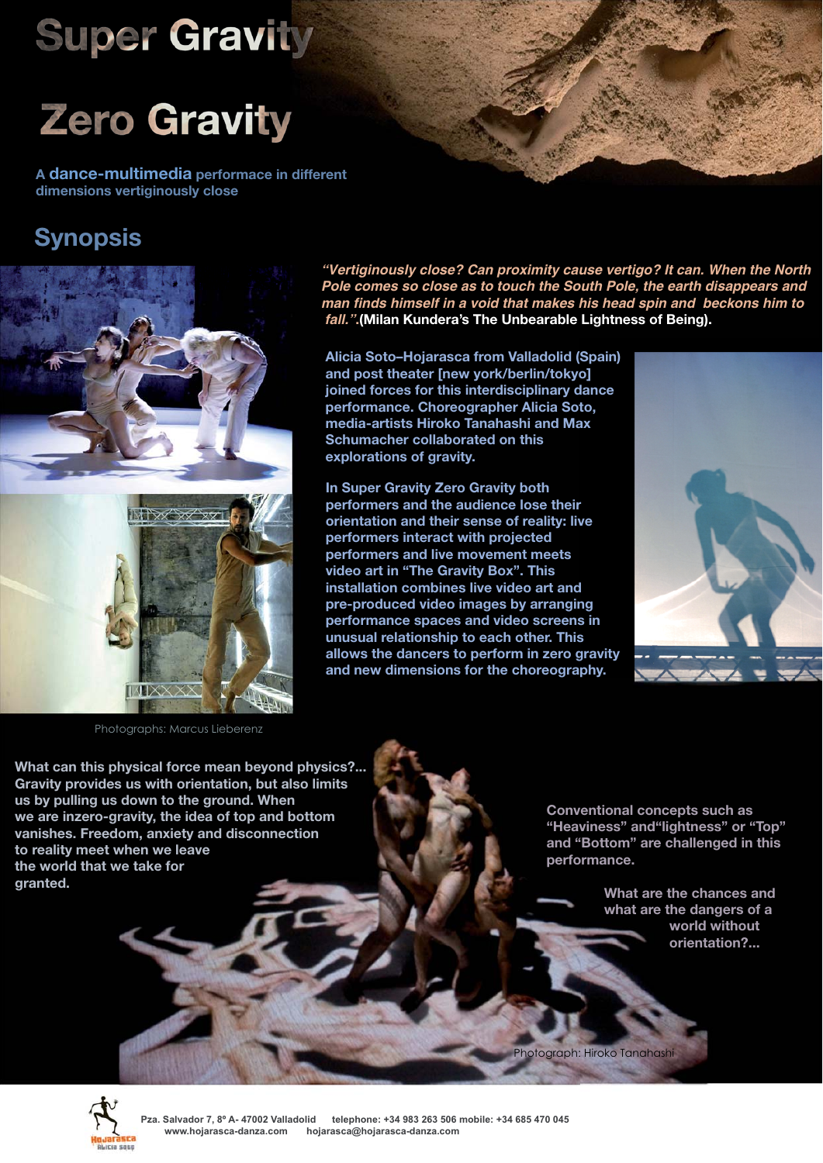## **Super Gravity**



**A dance-multimedia performace in different dimensions vertiginously close** 

#### **Synopsis**



**"Vertiginously close? Can proximity cause vertigo? It can. When the North Pole comes so close as to touch the South Pole, the earth disappears and man finds himself in a void that makes his head spin and beckons him to fall.".(Milan Kundera's The Unbearable Lightness of Being).**

**Alicia Soto–Hojarasca from Valladolid (Spain) and post theater [new york/berlin/tokyo] joined forces for this interdisciplinary dance performance. Choreographer Alicia Soto, media-artists Hiroko Tanahashi and Max Schumacher collaborated on this explorations of gravity.**

**In Super Gravity Zero Gravity both performers and the audience lose their orientation and their sense of reality: live performers interact with projected performers and live movement meets video art in "The Gravity Box". This installation combines live video art and pre-produced video images by arranging performance spaces and video screens in unusual relationship to each other. This allows the dancers to perform in zero gravity and new dimensions for the choreography.**



**What can this physical force mean beyond physics?... Gravity provides us with orientation, but also limits us by pulling us down to the ground. When we are inzero-gravity, the idea of top and bottom vanishes. Freedom, anxiety and disconnection to reality meet when we leave the world that we take for granted.**

**Conventional concepts such as "Heaviness" and"lightness" or "Top" and "Bottom" are challenged in this performance.** 

> **What are the chances and what are the dangers of a world without orientation?...**

Photograph: Hiroko Tanahashi



**Pza. Salvador 7, 8º A- 47002 Valladolid telephone: +34 983 263 506 mobile: +34 685 470 045 www.hojarasca-danza.com hojarasca@hojarasca-danza.com**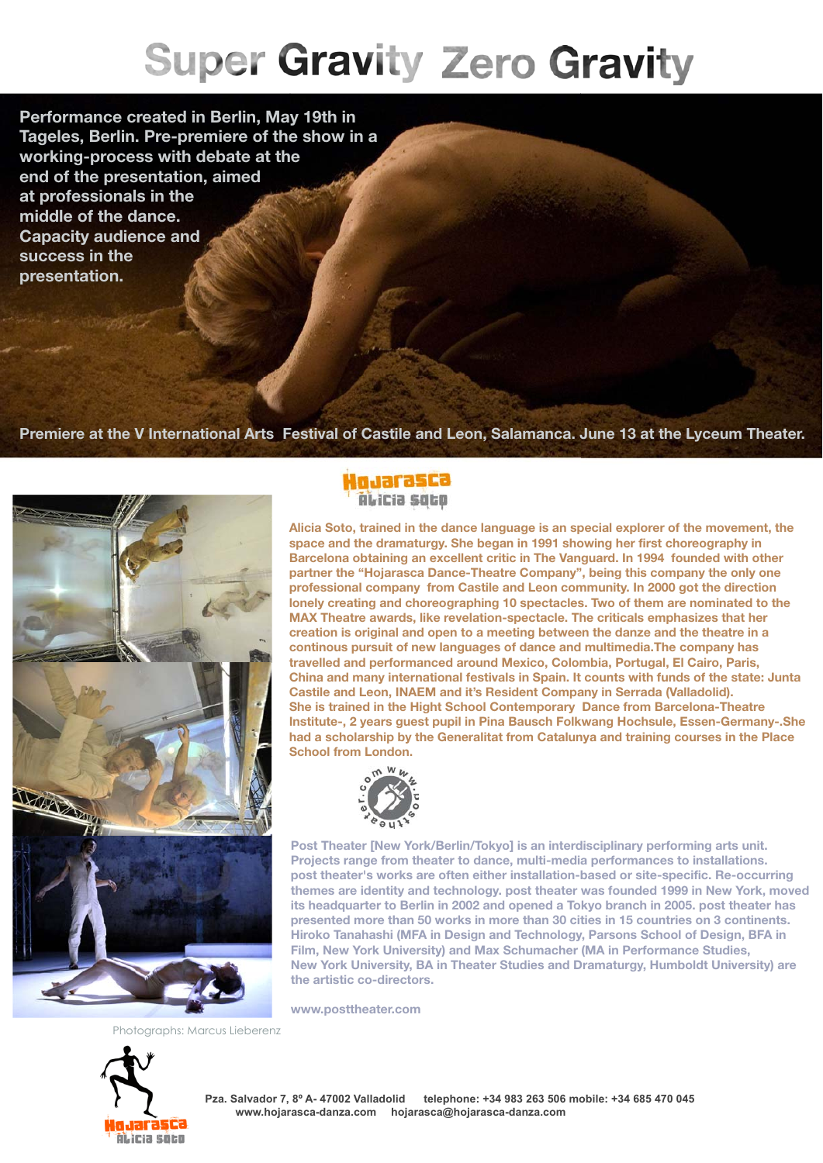## **Super Gravity Zero Gravity**

**Performance created in Berlin, May 19th in Tageles, Berlin. Pre-premiere of the show in a working-process with debate at the end of the presentation, aimed at professionals in the middle of the dance. Capacity audience and success in the presentation.** 

**Premiere at the V International Arts Festival of Castile and Leon, Salamanca. June 13 at the Lyceum Theater.**



**Hojarasca** Alicia soco

**Alicia Soto, trained in the dance language is an special explorer of the movement, the space and the dramaturgy. She began in 1991 showing her first choreography in Barcelona obtaining an excellent critic in The Vanguard. In 1994 founded with other partner the "Hojarasca Dance-Theatre Company", being this company the only one professional company from Castile and Leon community. In 2000 got the direction lonely creating and choreographing 10 spectacles. Two of them are nominated to the MAX Theatre awards, like revelation-spectacle. The criticals emphasizes that her creation is original and open to a meeting between the danze and the theatre in a continous pursuit of new languages of dance and multimedia.The company has travelled and performanced around Mexico, Colombia, Portugal, El Cairo, Paris, China and many international festivals in Spain. It counts with funds of the state: Junta Castile and Leon, INAEM and it's Resident Company in Serrada (Valladolid). She is trained in the Hight School Contemporary Dance from Barcelona-Theatre Institute-, 2 years guest pupil in Pina Bausch Folkwang Hochsule, Essen-Germany-.She had a scholarship by the Generalitat from Catalunya and training courses in the Place School from London.**



**Post Theater [New York/Berlin/Tokyo] is an interdisciplinary performing arts unit. Projects range from theater to dance, multi-media performances to installations. post theater's works are often either installation-based or site-specific. Re-occurring themes are identity and technology. post theater was founded 1999 in New York, moved its headquarter to Berlin in 2002 and opened a Tokyo branch in 2005. post theater has presented more than 50 works in more than 30 cities in 15 countries on 3 continents. Hiroko Tanahashi (MFA in Design and Technology, Parsons School of Design, BFA in Film, New York University) and Max Schumacher (MA in Performance Studies, New York University, BA in Theater Studies and Dramaturgy, Humboldt University) are the artistic co-directors.** 

**www.posttheater.com**

otographs: Marcus Lieberenz



**Pza. Salvador 7, 8º A- 47002 Valladolid telephone: +34 983 263 506 mobile: +34 685 470 045 www.hojarasca-danza.com hojarasca@hojarasca-danza.com**